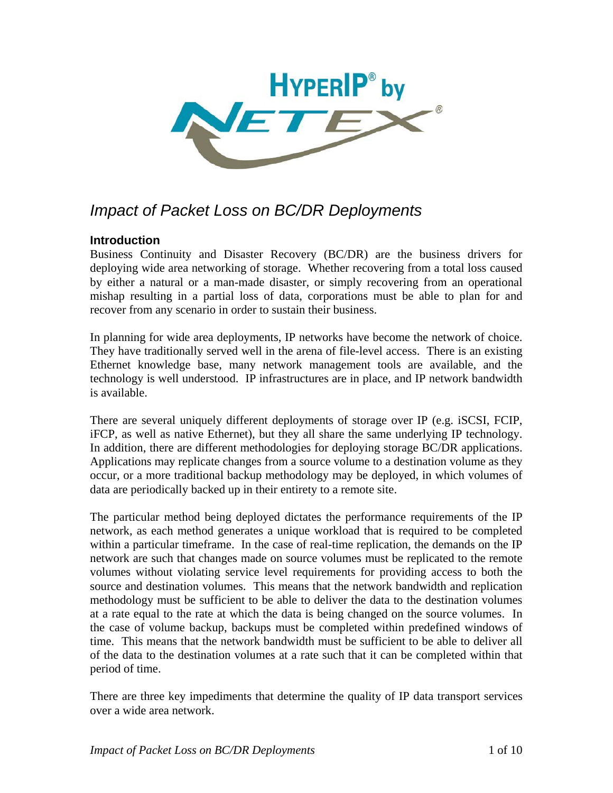

# *Impact of Packet Loss on BC/DR Deployments*

# **Introduction**

Business Continuity and Disaster Recovery (BC/DR) are the business drivers for deploying wide area networking of storage. Whether recovering from a total loss caused by either a natural or a man-made disaster, or simply recovering from an operational mishap resulting in a partial loss of data, corporations must be able to plan for and recover from any scenario in order to sustain their business.

In planning for wide area deployments, IP networks have become the network of choice. They have traditionally served well in the arena of file-level access. There is an existing Ethernet knowledge base, many network management tools are available, and the technology is well understood. IP infrastructures are in place, and IP network bandwidth is available.

There are several uniquely different deployments of storage over IP (e.g. iSCSI, FCIP, iFCP, as well as native Ethernet), but they all share the same underlying IP technology. In addition, there are different methodologies for deploying storage BC/DR applications. Applications may replicate changes from a source volume to a destination volume as they occur, or a more traditional backup methodology may be deployed, in which volumes of data are periodically backed up in their entirety to a remote site.

The particular method being deployed dictates the performance requirements of the IP network, as each method generates a unique workload that is required to be completed within a particular timeframe. In the case of real-time replication, the demands on the IP network are such that changes made on source volumes must be replicated to the remote volumes without violating service level requirements for providing access to both the source and destination volumes. This means that the network bandwidth and replication methodology must be sufficient to be able to deliver the data to the destination volumes at a rate equal to the rate at which the data is being changed on the source volumes. In the case of volume backup, backups must be completed within predefined windows of time. This means that the network bandwidth must be sufficient to be able to deliver all of the data to the destination volumes at a rate such that it can be completed within that period of time.

There are three key impediments that determine the quality of IP data transport services over a wide area network.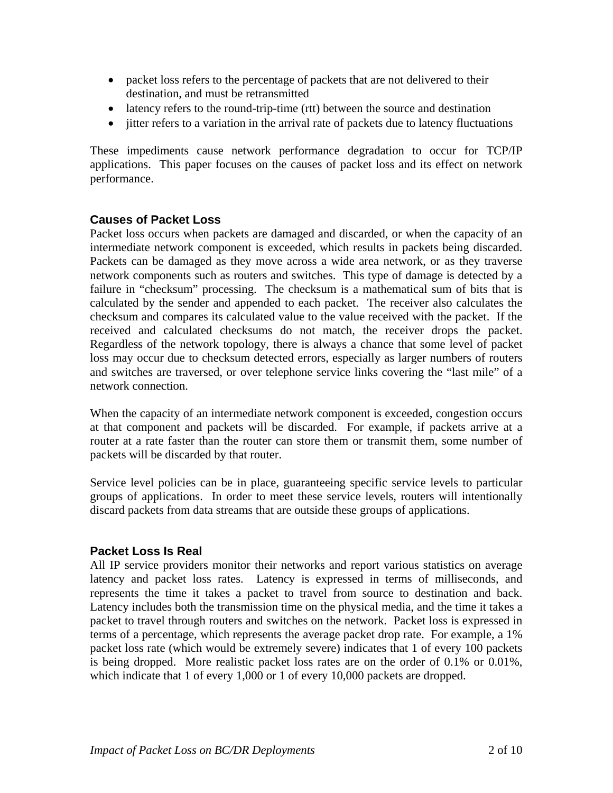- packet loss refers to the percentage of packets that are not delivered to their destination, and must be retransmitted
- latency refers to the round-trip-time (rtt) between the source and destination
- jitter refers to a variation in the arrival rate of packets due to latency fluctuations

These impediments cause network performance degradation to occur for TCP/IP applications. This paper focuses on the causes of packet loss and its effect on network performance.

## **Causes of Packet Loss**

Packet loss occurs when packets are damaged and discarded, or when the capacity of an intermediate network component is exceeded, which results in packets being discarded. Packets can be damaged as they move across a wide area network, or as they traverse network components such as routers and switches. This type of damage is detected by a failure in "checksum" processing. The checksum is a mathematical sum of bits that is calculated by the sender and appended to each packet. The receiver also calculates the checksum and compares its calculated value to the value received with the packet. If the received and calculated checksums do not match, the receiver drops the packet. Regardless of the network topology, there is always a chance that some level of packet loss may occur due to checksum detected errors, especially as larger numbers of routers and switches are traversed, or over telephone service links covering the "last mile" of a network connection.

When the capacity of an intermediate network component is exceeded, congestion occurs at that component and packets will be discarded. For example, if packets arrive at a router at a rate faster than the router can store them or transmit them, some number of packets will be discarded by that router.

Service level policies can be in place, guaranteeing specific service levels to particular groups of applications. In order to meet these service levels, routers will intentionally discard packets from data streams that are outside these groups of applications.

## **Packet Loss Is Real**

All IP service providers monitor their networks and report various statistics on average latency and packet loss rates. Latency is expressed in terms of milliseconds, and represents the time it takes a packet to travel from source to destination and back. Latency includes both the transmission time on the physical media, and the time it takes a packet to travel through routers and switches on the network. Packet loss is expressed in terms of a percentage, which represents the average packet drop rate. For example, a 1% packet loss rate (which would be extremely severe) indicates that 1 of every 100 packets is being dropped. More realistic packet loss rates are on the order of 0.1% or 0.01%, which indicate that 1 of every 1,000 or 1 of every 10,000 packets are dropped.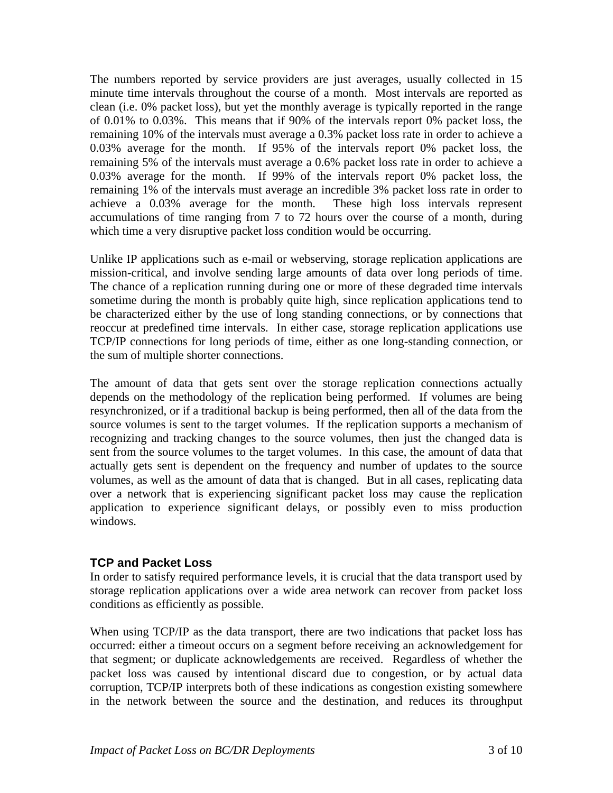The numbers reported by service providers are just averages, usually collected in 15 minute time intervals throughout the course of a month. Most intervals are reported as clean (i.e. 0% packet loss), but yet the monthly average is typically reported in the range of 0.01% to 0.03%. This means that if 90% of the intervals report 0% packet loss, the remaining 10% of the intervals must average a 0.3% packet loss rate in order to achieve a 0.03% average for the month. If 95% of the intervals report 0% packet loss, the remaining 5% of the intervals must average a 0.6% packet loss rate in order to achieve a 0.03% average for the month. If 99% of the intervals report 0% packet loss, the remaining 1% of the intervals must average an incredible 3% packet loss rate in order to achieve a 0.03% average for the month. These high loss intervals represent accumulations of time ranging from 7 to 72 hours over the course of a month, during which time a very disruptive packet loss condition would be occurring.

Unlike IP applications such as e-mail or webserving, storage replication applications are mission-critical, and involve sending large amounts of data over long periods of time. The chance of a replication running during one or more of these degraded time intervals sometime during the month is probably quite high, since replication applications tend to be characterized either by the use of long standing connections, or by connections that reoccur at predefined time intervals. In either case, storage replication applications use TCP/IP connections for long periods of time, either as one long-standing connection, or the sum of multiple shorter connections.

The amount of data that gets sent over the storage replication connections actually depends on the methodology of the replication being performed. If volumes are being resynchronized, or if a traditional backup is being performed, then all of the data from the source volumes is sent to the target volumes. If the replication supports a mechanism of recognizing and tracking changes to the source volumes, then just the changed data is sent from the source volumes to the target volumes. In this case, the amount of data that actually gets sent is dependent on the frequency and number of updates to the source volumes, as well as the amount of data that is changed. But in all cases, replicating data over a network that is experiencing significant packet loss may cause the replication application to experience significant delays, or possibly even to miss production windows.

## **TCP and Packet Loss**

In order to satisfy required performance levels, it is crucial that the data transport used by storage replication applications over a wide area network can recover from packet loss conditions as efficiently as possible.

When using TCP/IP as the data transport, there are two indications that packet loss has occurred: either a timeout occurs on a segment before receiving an acknowledgement for that segment; or duplicate acknowledgements are received. Regardless of whether the packet loss was caused by intentional discard due to congestion, or by actual data corruption, TCP/IP interprets both of these indications as congestion existing somewhere in the network between the source and the destination, and reduces its throughput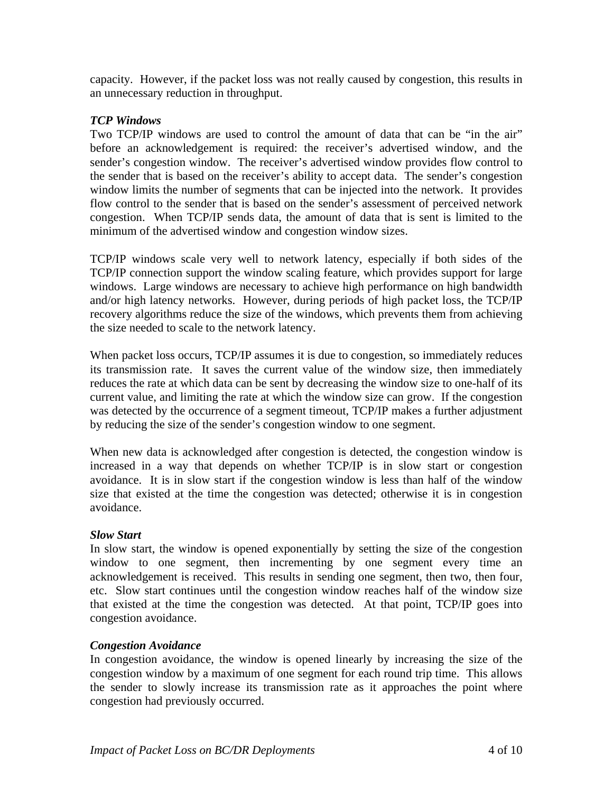capacity. However, if the packet loss was not really caused by congestion, this results in an unnecessary reduction in throughput.

#### *TCP Windows*

Two TCP/IP windows are used to control the amount of data that can be "in the air" before an acknowledgement is required: the receiver's advertised window, and the sender's congestion window. The receiver's advertised window provides flow control to the sender that is based on the receiver's ability to accept data. The sender's congestion window limits the number of segments that can be injected into the network. It provides flow control to the sender that is based on the sender's assessment of perceived network congestion. When TCP/IP sends data, the amount of data that is sent is limited to the minimum of the advertised window and congestion window sizes.

TCP/IP windows scale very well to network latency, especially if both sides of the TCP/IP connection support the window scaling feature, which provides support for large windows. Large windows are necessary to achieve high performance on high bandwidth and/or high latency networks. However, during periods of high packet loss, the TCP/IP recovery algorithms reduce the size of the windows, which prevents them from achieving the size needed to scale to the network latency.

When packet loss occurs, TCP/IP assumes it is due to congestion, so immediately reduces its transmission rate. It saves the current value of the window size, then immediately reduces the rate at which data can be sent by decreasing the window size to one-half of its current value, and limiting the rate at which the window size can grow. If the congestion was detected by the occurrence of a segment timeout, TCP/IP makes a further adjustment by reducing the size of the sender's congestion window to one segment.

When new data is acknowledged after congestion is detected, the congestion window is increased in a way that depends on whether TCP/IP is in slow start or congestion avoidance. It is in slow start if the congestion window is less than half of the window size that existed at the time the congestion was detected; otherwise it is in congestion avoidance.

#### *Slow Start*

In slow start, the window is opened exponentially by setting the size of the congestion window to one segment, then incrementing by one segment every time an acknowledgement is received. This results in sending one segment, then two, then four, etc. Slow start continues until the congestion window reaches half of the window size that existed at the time the congestion was detected. At that point, TCP/IP goes into congestion avoidance.

#### *Congestion Avoidance*

In congestion avoidance, the window is opened linearly by increasing the size of the congestion window by a maximum of one segment for each round trip time. This allows the sender to slowly increase its transmission rate as it approaches the point where congestion had previously occurred.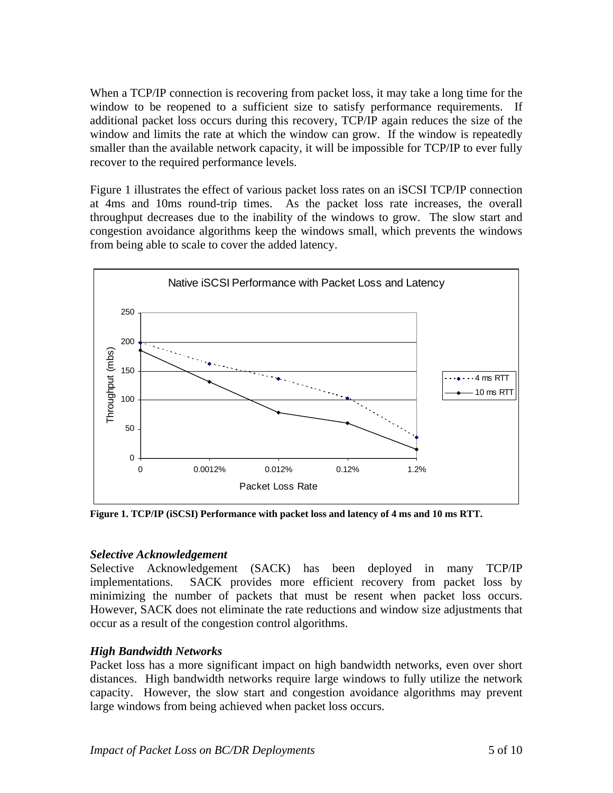When a TCP/IP connection is recovering from packet loss, it may take a long time for the window to be reopened to a sufficient size to satisfy performance requirements. If additional packet loss occurs during this recovery, TCP/IP again reduces the size of the window and limits the rate at which the window can grow. If the window is repeatedly smaller than the available network capacity, it will be impossible for TCP/IP to ever fully recover to the required performance levels.

Figure 1 illustrates the effect of various packet loss rates on an iSCSI TCP/IP connection at 4ms and 10ms round-trip times. As the packet loss rate increases, the overall throughput decreases due to the inability of the windows to grow. The slow start and congestion avoidance algorithms keep the windows small, which prevents the windows from being able to scale to cover the added latency.



**Figure 1. TCP/IP (iSCSI) Performance with packet loss and latency of 4 ms and 10 ms RTT.** 

## *Selective Acknowledgement*

Selective Acknowledgement (SACK) has been deployed in many TCP/IP implementations. SACK provides more efficient recovery from packet loss by minimizing the number of packets that must be resent when packet loss occurs. However, SACK does not eliminate the rate reductions and window size adjustments that occur as a result of the congestion control algorithms.

## *High Bandwidth Networks*

Packet loss has a more significant impact on high bandwidth networks, even over short distances. High bandwidth networks require large windows to fully utilize the network capacity. However, the slow start and congestion avoidance algorithms may prevent large windows from being achieved when packet loss occurs.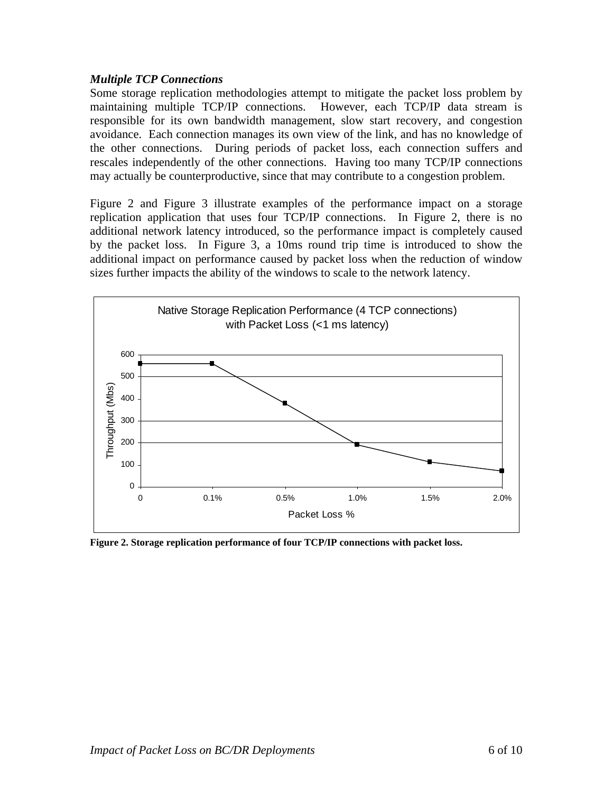#### *Multiple TCP Connections*

Some storage replication methodologies attempt to mitigate the packet loss problem by maintaining multiple TCP/IP connections. However, each TCP/IP data stream is responsible for its own bandwidth management, slow start recovery, and congestion avoidance. Each connection manages its own view of the link, and has no knowledge of the other connections. During periods of packet loss, each connection suffers and rescales independently of the other connections. Having too many TCP/IP connections may actually be counterproductive, since that may contribute to a congestion problem.

Figure 2 and Figure 3 illustrate examples of the performance impact on a storage replication application that uses four TCP/IP connections. In Figure 2, there is no additional network latency introduced, so the performance impact is completely caused by the packet loss. In Figure 3, a 10ms round trip time is introduced to show the additional impact on performance caused by packet loss when the reduction of window sizes further impacts the ability of the windows to scale to the network latency.



**Figure 2. Storage replication performance of four TCP/IP connections with packet loss.**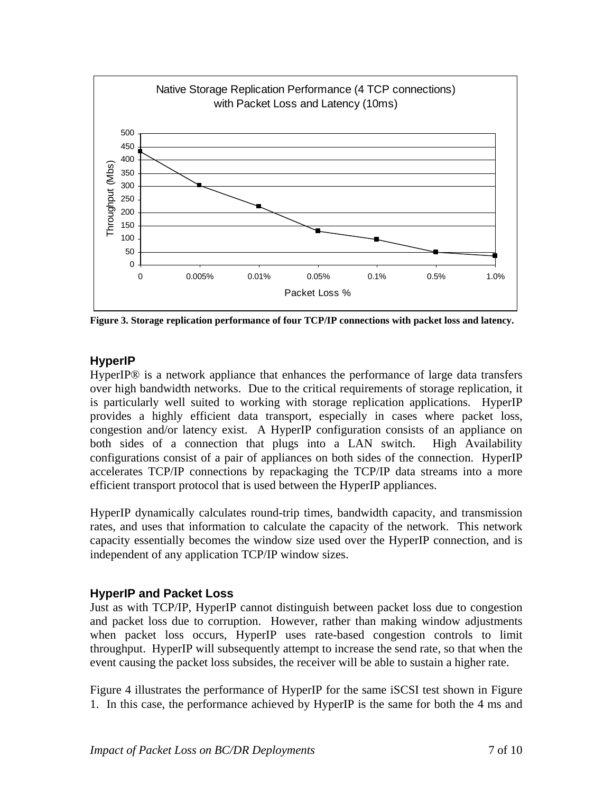

**Figure 3. Storage replication performance of four TCP/IP connections with packet loss and latency.** 

# **HyperIP**

HyperIP® is a network appliance that enhances the performance of large data transfers over high bandwidth networks. Due to the critical requirements of storage replication, it is particularly well suited to working with storage replication applications. HyperIP provides a highly efficient data transport, especially in cases where packet loss, congestion and/or latency exist. A HyperIP configuration consists of an appliance on both sides of a connection that plugs into a LAN switch. High Availability configurations consist of a pair of appliances on both sides of the connection. HyperIP accelerates TCP/IP connections by repackaging the TCP/IP data streams into a more efficient transport protocol that is used between the HyperIP appliances.

HyperIP dynamically calculates round-trip times, bandwidth capacity, and transmission rates, and uses that information to calculate the capacity of the network. This network capacity essentially becomes the window size used over the HyperIP connection, and is independent of any application TCP/IP window sizes.

# **HyperIP and Packet Loss**

Just as with TCP/IP, HyperIP cannot distinguish between packet loss due to congestion and packet loss due to corruption. However, rather than making window adjustments when packet loss occurs, HyperIP uses rate-based congestion controls to limit throughput. HyperIP will subsequently attempt to increase the send rate, so that when the event causing the packet loss subsides, the receiver will be able to sustain a higher rate.

Figure 4 illustrates the performance of HyperIP for the same iSCSI test shown in Figure 1. In this case, the performance achieved by HyperIP is the same for both the 4 ms and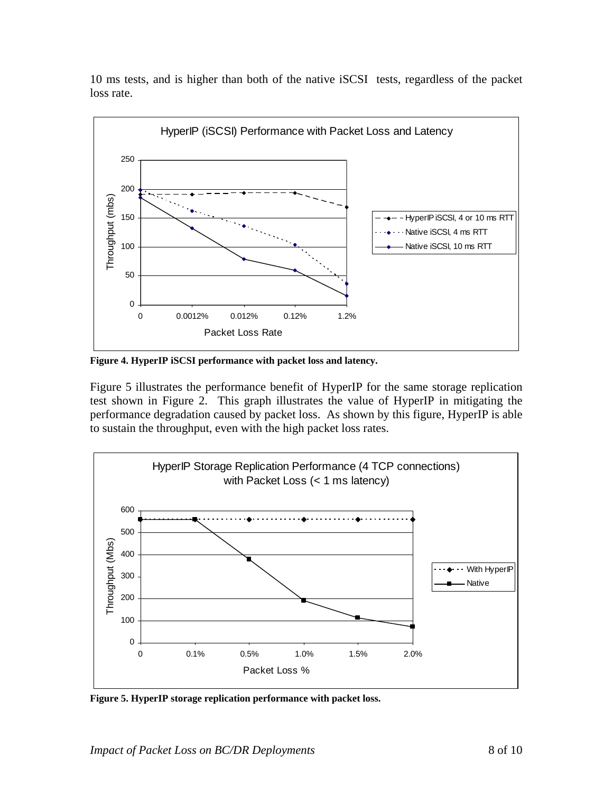10 ms tests, and is higher than both of the native iSCSI tests, regardless of the packet loss rate.



**Figure 4. HyperIP iSCSI performance with packet loss and latency.** 

Figure 5 illustrates the performance benefit of HyperIP for the same storage replication test shown in Figure 2. This graph illustrates the value of HyperIP in mitigating the performance degradation caused by packet loss. As shown by this figure, HyperIP is able to sustain the throughput, even with the high packet loss rates.



**Figure 5. HyperIP storage replication performance with packet loss.**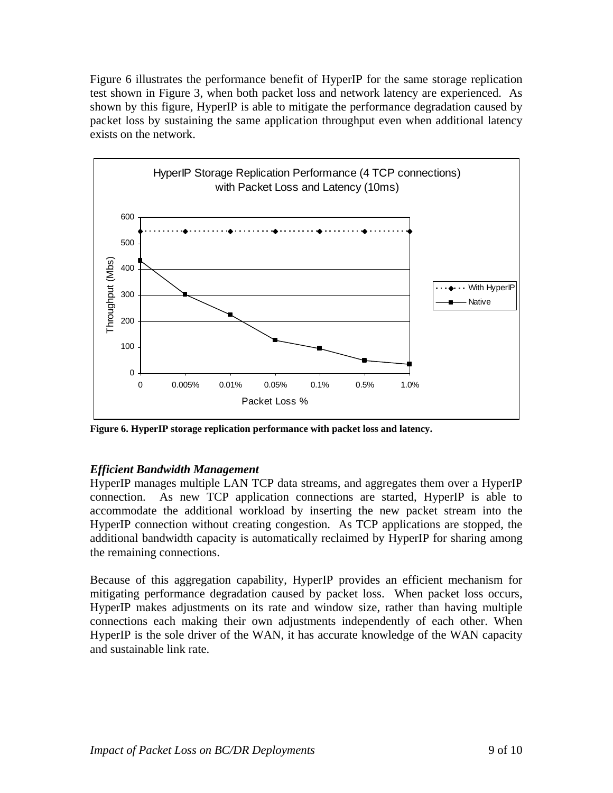Figure 6 illustrates the performance benefit of HyperIP for the same storage replication test shown in Figure 3, when both packet loss and network latency are experienced. As shown by this figure, HyperIP is able to mitigate the performance degradation caused by packet loss by sustaining the same application throughput even when additional latency exists on the network.



**Figure 6. HyperIP storage replication performance with packet loss and latency.** 

# *Efficient Bandwidth Management*

HyperIP manages multiple LAN TCP data streams, and aggregates them over a HyperIP connection. As new TCP application connections are started, HyperIP is able to accommodate the additional workload by inserting the new packet stream into the HyperIP connection without creating congestion. As TCP applications are stopped, the additional bandwidth capacity is automatically reclaimed by HyperIP for sharing among the remaining connections.

Because of this aggregation capability, HyperIP provides an efficient mechanism for mitigating performance degradation caused by packet loss. When packet loss occurs, HyperIP makes adjustments on its rate and window size, rather than having multiple connections each making their own adjustments independently of each other. When HyperIP is the sole driver of the WAN, it has accurate knowledge of the WAN capacity and sustainable link rate.